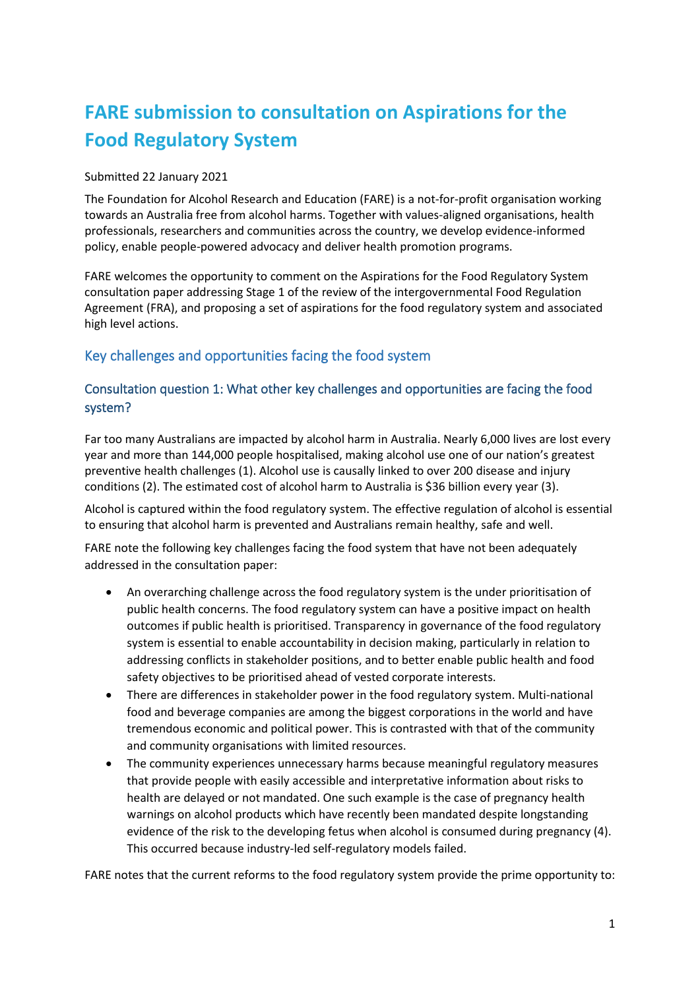# **FARE submission to consultation on Aspirations for the Food Regulatory System**

#### Submitted 22 January 2021

The Foundation for Alcohol Research and Education (FARE) is a not-for-profit organisation working towards an Australia free from alcohol harms. Together with values-aligned organisations, health professionals, researchers and communities across the country, we develop evidence-informed policy, enable people-powered advocacy and deliver health promotion programs.

FARE welcomes the opportunity to comment on the Aspirations for the Food Regulatory System consultation paper addressing Stage 1 of the review of the intergovernmental Food Regulation Agreement (FRA), and proposing a set of aspirations for the food regulatory system and associated high level actions.

### Key challenges and opportunities facing the food system

#### Consultation question 1: What other key challenges and opportunities are facing the food system?

Far too many Australians are impacted by alcohol harm in Australia. Nearly 6,000 lives are lost every year and more than 144,000 people hospitalised, making alcohol use one of our nation's greatest preventive health challenges (1). Alcohol use is causally linked to over 200 disease and injury conditions (2). The estimated cost of alcohol harm to Australia is \$36 billion every year (3).

Alcohol is captured within the food regulatory system. The effective regulation of alcohol is essential to ensuring that alcohol harm is prevented and Australians remain healthy, safe and well.

FARE note the following key challenges facing the food system that have not been adequately addressed in the consultation paper:

- An overarching challenge across the food regulatory system is the under prioritisation of public health concerns. The food regulatory system can have a positive impact on health outcomes if public health is prioritised. Transparency in governance of the food regulatory system is essential to enable accountability in decision making, particularly in relation to addressing conflicts in stakeholder positions, and to better enable public health and food safety objectives to be prioritised ahead of vested corporate interests.
- There are differences in stakeholder power in the food regulatory system. Multi-national food and beverage companies are among the biggest corporations in the world and have tremendous economic and political power. This is contrasted with that of the community and community organisations with limited resources.
- The community experiences unnecessary harms because meaningful regulatory measures that provide people with easily accessible and interpretative information about risks to health are delayed or not mandated. One such example is the case of pregnancy health warnings on alcohol products which have recently been mandated despite longstanding evidence of the risk to the developing fetus when alcohol is consumed during pregnancy (4). This occurred because industry-led self-regulatory models failed.

FARE notes that the current reforms to the food regulatory system provide the prime opportunity to: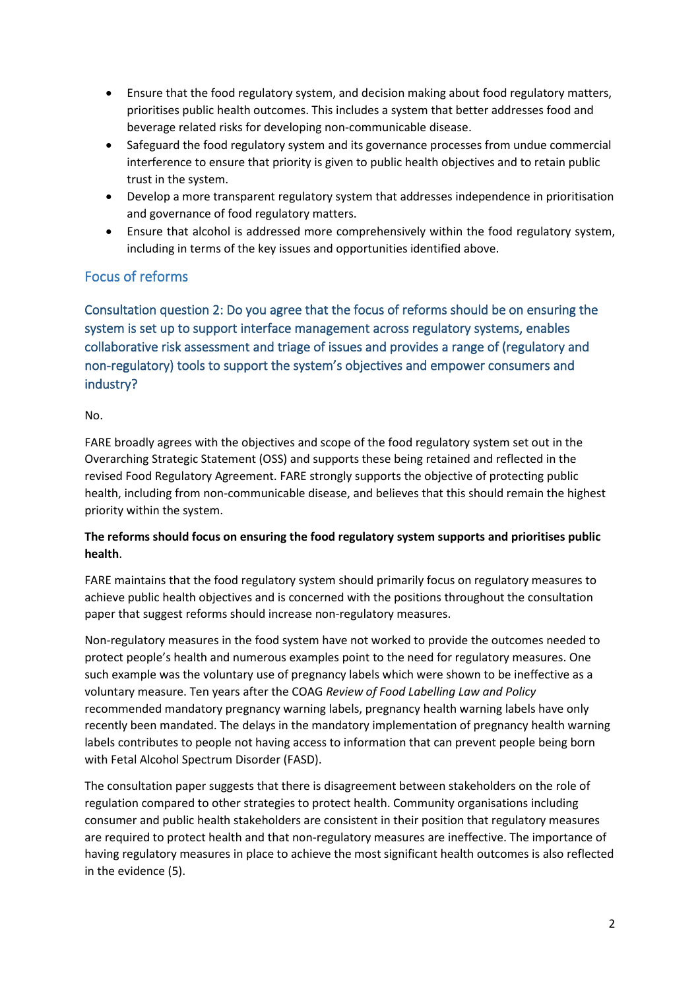- Ensure that the food regulatory system, and decision making about food regulatory matters, prioritises public health outcomes. This includes a system that better addresses food and beverage related risks for developing non-communicable disease.
- Safeguard the food regulatory system and its governance processes from undue commercial interference to ensure that priority is given to public health objectives and to retain public trust in the system.
- Develop a more transparent regulatory system that addresses independence in prioritisation and governance of food regulatory matters.
- Ensure that alcohol is addressed more comprehensively within the food regulatory system, including in terms of the key issues and opportunities identified above.

## Focus of reforms

Consultation question 2: Do you agree that the focus of reforms should be on ensuring the system is set up to support interface management across regulatory systems, enables collaborative risk assessment and triage of issues and provides a range of (regulatory and non-regulatory) tools to support the system's objectives and empower consumers and industry?

#### No.

FARE broadly agrees with the objectives and scope of the food regulatory system set out in the Overarching Strategic Statement (OSS) and supports these being retained and reflected in the revised Food Regulatory Agreement. FARE strongly supports the objective of protecting public health, including from non-communicable disease, and believes that this should remain the highest priority within the system.

#### **The reforms should focus on ensuring the food regulatory system supports and prioritises public health**.

FARE maintains that the food regulatory system should primarily focus on regulatory measures to achieve public health objectives and is concerned with the positions throughout the consultation paper that suggest reforms should increase non-regulatory measures.

Non-regulatory measures in the food system have not worked to provide the outcomes needed to protect people's health and numerous examples point to the need for regulatory measures. One such example was the voluntary use of pregnancy labels which were shown to be ineffective as a voluntary measure. Ten years after the COAG *Review of Food Labelling Law and Policy* recommended mandatory pregnancy warning labels, pregnancy health warning labels have only recently been mandated. The delays in the mandatory implementation of pregnancy health warning labels contributes to people not having access to information that can prevent people being born with Fetal Alcohol Spectrum Disorder (FASD).

The consultation paper suggests that there is disagreement between stakeholders on the role of regulation compared to other strategies to protect health. Community organisations including consumer and public health stakeholders are consistent in their position that regulatory measures are required to protect health and that non-regulatory measures are ineffective. The importance of having regulatory measures in place to achieve the most significant health outcomes is also reflected in the evidence (5).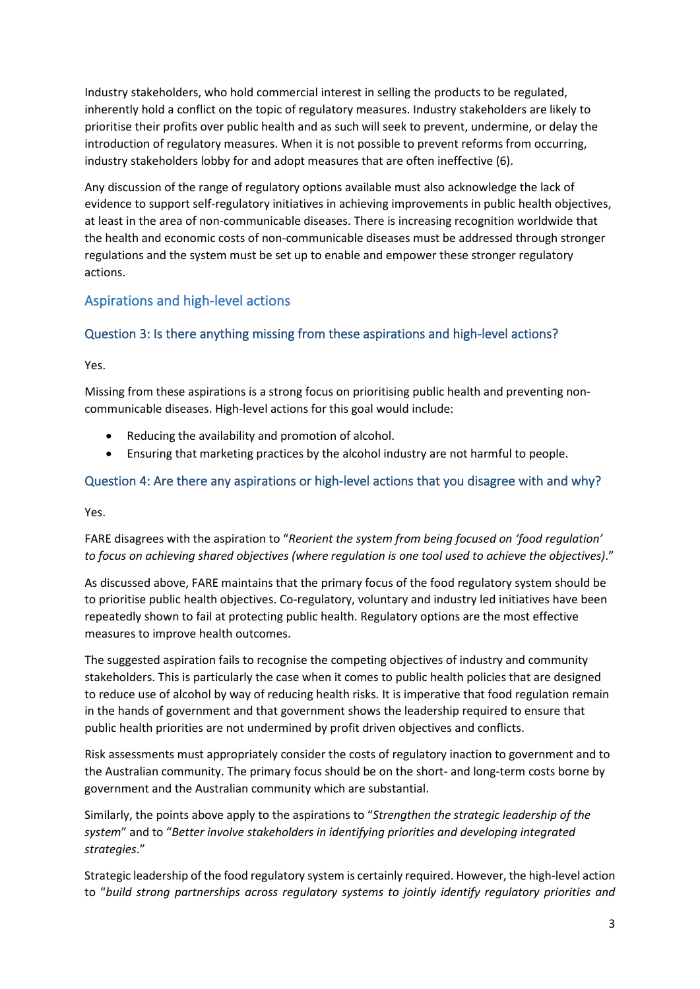Industry stakeholders, who hold commercial interest in selling the products to be regulated, inherently hold a conflict on the topic of regulatory measures. Industry stakeholders are likely to prioritise their profits over public health and as such will seek to prevent, undermine, or delay the introduction of regulatory measures. When it is not possible to prevent reforms from occurring, industry stakeholders lobby for and adopt measures that are often ineffective (6).

Any discussion of the range of regulatory options available must also acknowledge the lack of evidence to support self-regulatory initiatives in achieving improvements in public health objectives, at least in the area of non-communicable diseases. There is increasing recognition worldwide that the health and economic costs of non-communicable diseases must be addressed through stronger regulations and the system must be set up to enable and empower these stronger regulatory actions.

## Aspirations and high-level actions

### Question 3: Is there anything missing from these aspirations and high-level actions?

Yes.

Missing from these aspirations is a strong focus on prioritising public health and preventing noncommunicable diseases. High-level actions for this goal would include:

- Reducing the availability and promotion of alcohol.
- Ensuring that marketing practices by the alcohol industry are not harmful to people.

### Question 4: Are there any aspirations or high-level actions that you disagree with and why?

Yes.

FARE disagrees with the aspiration to "*Reorient the system from being focused on 'food regulation' to focus on achieving shared objectives (where regulation is one tool used to achieve the objectives)*."

As discussed above, FARE maintains that the primary focus of the food regulatory system should be to prioritise public health objectives. Co-regulatory, voluntary and industry led initiatives have been repeatedly shown to fail at protecting public health. Regulatory options are the most effective measures to improve health outcomes.

The suggested aspiration fails to recognise the competing objectives of industry and community stakeholders. This is particularly the case when it comes to public health policies that are designed to reduce use of alcohol by way of reducing health risks. It is imperative that food regulation remain in the hands of government and that government shows the leadership required to ensure that public health priorities are not undermined by profit driven objectives and conflicts.

Risk assessments must appropriately consider the costs of regulatory inaction to government and to the Australian community. The primary focus should be on the short- and long-term costs borne by government and the Australian community which are substantial.

Similarly, the points above apply to the aspirations to "*Strengthen the strategic leadership of the system*" and to "*Better involve stakeholders in identifying priorities and developing integrated strategies*."

Strategic leadership of the food regulatory system is certainly required. However, the high-level action to "*build strong partnerships across regulatory systems to jointly identify regulatory priorities and*